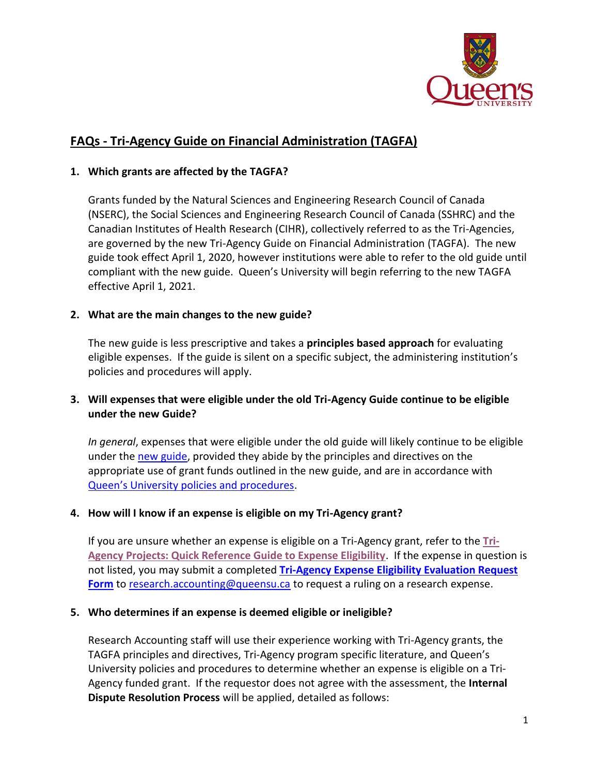

# **FAQs - Tri-Agency Guide on Financial Administration (TAGFA)**

#### **1. [Which grants are affected by the TAGFA?](https://research.ucalgary.ca/conduct-research/manage-funds/tri-agency-principles-based-approach#collapse851287512)**

Grants funded by the Natural Sciences and Engineering Research Council of Canada (NSERC), the Social Sciences and Engineering Research Council of Canada (SSHRC) and the Canadian Institutes of Health Research (CIHR), collectively referred to as the Tri-Agencies, are governed by the new Tri-Agency Guide on Financial Administration (TAGFA). The new guide took effect April 1, 2020, however institutions were able to refer to the old guide until compliant with the new guide. Queen's University will begin referring to the new TAGFA effective April 1, 2021.

#### **2. What are the main changes to the new guide?**

The new guide is less prescriptive and takes a **principles based approach** for evaluating eligible expenses.If the guide is silent on a specific subject, the administering institution's policies and procedures will apply.

## **3. Will expenses that were eligible under the old Tri-Agency Guide continue to be eligible under the new Guide?**

*In general*, expenses that were eligible under the old guide will likely continue to be eligible under the [new guide,](https://www.nserc-crsng.gc.ca/InterAgency-Interorganismes/TAFA-AFTO/guide-guide_eng.asp) provided they abide by the principles and directives on the appropriate use of grant funds outlined in the new guide, and are in accordance with [Queen's University policies and procedures](https://www.queensu.ca/secretariat/policies).

#### **4. How will I know if an expense is eligible on my Tri-Agency grant?**

If you are unsure whether an expense is eligible on a Tri-Agency grant, refer to the **[Tri-](https://queensuca-my.sharepoint.com/:b:/g/personal/montesan_queensu_ca/EfEhqvcecDZKjQhgdsoRqdYBacbeydU8NeASHvFgBansQw?e=gaaMFf)[Agency Projects: Quick Reference Guide to Expense Eligibility](https://queensuca-my.sharepoint.com/:b:/g/personal/montesan_queensu_ca/EfEhqvcecDZKjQhgdsoRqdYBacbeydU8NeASHvFgBansQw?e=gaaMFf)**. If the expense in question is not listed, you may submit a completed **[Tri-Agency Expense Eligibility Evaluation Request](https://queensuca-my.sharepoint.com/:w:/g/personal/montesan_queensu_ca/EZpryUBeVXVEl36SkzStupABSUuRk9WHD-jJIT0ZkNPeBg?e=aCtQHN)  [Form](https://queensuca-my.sharepoint.com/:w:/g/personal/montesan_queensu_ca/EZpryUBeVXVEl36SkzStupABSUuRk9WHD-jJIT0ZkNPeBg?e=aCtQHN)** to [research.accounting@queensu.ca](mailto:research.accounting@queensu.ca) to request a ruling on a research expense.

#### **5. Who determines if an expense is deemed eligible or ineligible?**

Research Accounting staff will use their experience working with Tri-Agency grants, the TAGFA principles and directives, Tri-Agency program specific literature, and Queen's University policies and procedures to determine whether an expense is eligible on a Tri-Agency funded grant. If the requestor does not agree with the assessment, the **Internal Dispute Resolution Process** will be applied, detailed as follows: